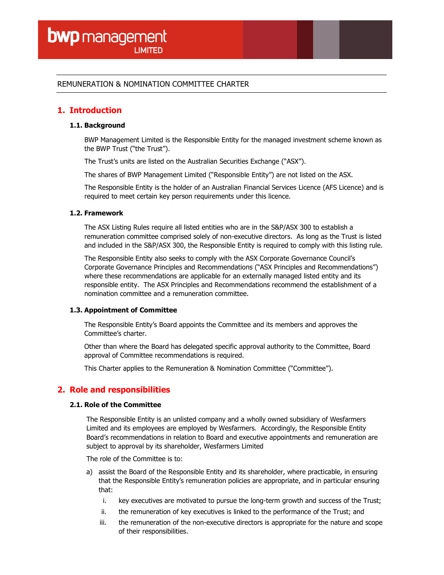# REMUNERATION & NOMINATION COMMITTEE CHARTER

# 1. Introduction

## 1.1. Background

BWP Management Limited is the Responsible Entity for the managed investment scheme known as the BWP Trust ("the Trust").

The Trust's units are listed on the Australian Securities Exchange ("ASX").

The shares of BWP Management Limited ("Responsible Entity") are not listed on the ASX.

The Responsible Entity is the holder of an Australian Financial Services Licence (AFS Licence) and is required to meet certain key person requirements under this licence.

### 1.2. Framework

The ASX Listing Rules require all listed entities who are in the S&P/ASX 300 to establish a remuneration committee comprised solely of non-executive directors. As long as the Trust is listed and included in the S&P/ASX 300, the Responsible Entity is required to comply with this listing rule.

The Responsible Entity also seeks to comply with the ASX Corporate Governance Council's Corporate Governance Principles and Recommendations ("ASX Principles and Recommendations") where these recommendations are applicable for an externally managed listed entity and its responsible entity. The ASX Principles and Recommendations recommend the establishment of a nomination committee and a remuneration committee.

### 1.3. Appointment of Committee

The Responsible Entity's Board appoints the Committee and its members and approves the Committee's charter.

Other than where the Board has delegated specific approval authority to the Committee, Board approval of Committee recommendations is required.

This Charter applies to the Remuneration & Nomination Committee ("Committee").

# 2. Role and responsibilities

### 2.1. Role of the Committee

The Responsible Entity is an unlisted company and a wholly owned subsidiary of Wesfarmers Limited and its employees are employed by Wesfarmers. Accordingly, the Responsible Entity Board's recommendations in relation to Board and executive appointments and remuneration are subject to approval by its shareholder, Wesfarmers Limited

The role of the Committee is to:

- a) assist the Board of the Responsible Entity and its shareholder, where practicable, in ensuring that the Responsible Entity's remuneration policies are appropriate, and in particular ensuring that:
	- i. key executives are motivated to pursue the long-term growth and success of the Trust;
	- ii. the remuneration of key executives is linked to the performance of the Trust; and
	- iii. the remuneration of the non-executive directors is appropriate for the nature and scope of their responsibilities.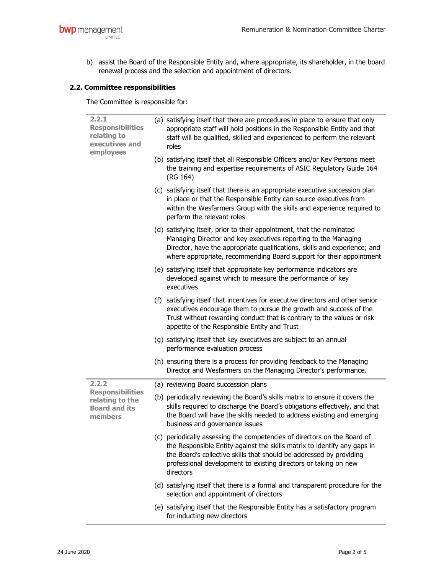b) assist the Board of the Responsible Entity and, where appropriate, its shareholder, in the board renewal process and the selection and appointment of directors.

# 2.2. Committee responsibilities

The Committee is responsible for:

| 2.2.1<br><b>Responsibilities</b><br>relating to<br>executives and<br>employees         | (a) satisfying itself that there are procedures in place to ensure that only<br>appropriate staff will hold positions in the Responsible Entity and that<br>staff will be qualified, skilled and experienced to perform the relevant<br>roles                                                               |
|----------------------------------------------------------------------------------------|-------------------------------------------------------------------------------------------------------------------------------------------------------------------------------------------------------------------------------------------------------------------------------------------------------------|
|                                                                                        | (b) satisfying itself that all Responsible Officers and/or Key Persons meet<br>the training and expertise requirements of ASIC Regulatory Guide 164<br>(RG 164)                                                                                                                                             |
|                                                                                        | (c) satisfying itself that there is an appropriate executive succession plan<br>in place or that the Responsible Entity can source executives from<br>within the Wesfarmers Group with the skills and experience required to<br>perform the relevant roles                                                  |
|                                                                                        | (d) satisfying itself, prior to their appointment, that the nominated<br>Managing Director and key executives reporting to the Managing<br>Director, have the appropriate qualifications, skills and experience; and<br>where appropriate, recommending Board support for their appointment                 |
|                                                                                        | (e) satisfying itself that appropriate key performance indicators are<br>developed against which to measure the performance of key<br>executives                                                                                                                                                            |
|                                                                                        | (f) satisfying itself that incentives for executive directors and other senior<br>executives encourage them to pursue the growth and success of the<br>Trust without rewarding conduct that is contrary to the values or risk<br>appetite of the Responsible Entity and Trust                               |
|                                                                                        | (g) satisfying itself that key executives are subject to an annual<br>performance evaluation process                                                                                                                                                                                                        |
|                                                                                        | (h) ensuring there is a process for providing feedback to the Managing<br>Director and Wesfarmers on the Managing Director's performance.                                                                                                                                                                   |
| 2.2.2<br><b>Responsibilities</b><br>relating to the<br><b>Board and its</b><br>members | (a) reviewing Board succession plans                                                                                                                                                                                                                                                                        |
|                                                                                        | (b) periodically reviewing the Board's skills matrix to ensure it covers the<br>skills required to discharge the Board's obligations effectively, and that<br>the Board will have the skills needed to address existing and emerging<br>business and governance issues                                      |
|                                                                                        | (c) periodically assessing the competencies of directors on the Board of<br>the Responsible Entity against the skills matrix to identify any gaps in<br>the Board's collective skills that should be addressed by providing<br>professional development to existing directors or taking on new<br>directors |
|                                                                                        | (d) satisfying itself that there is a formal and transparent procedure for the<br>selection and appointment of directors                                                                                                                                                                                    |
|                                                                                        | (e) satisfying itself that the Responsible Entity has a satisfactory program<br>for inducting new directors                                                                                                                                                                                                 |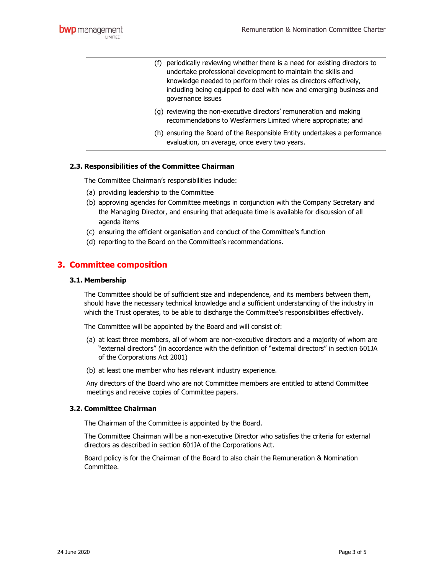- (f) periodically reviewing whether there is a need for existing directors to undertake professional development to maintain the skills and knowledge needed to perform their roles as directors effectively, including being equipped to deal with new and emerging business and governance issues
- (g) reviewing the non-executive directors' remuneration and making recommendations to Wesfarmers Limited where appropriate; and
- (h) ensuring the Board of the Responsible Entity undertakes a performance evaluation, on average, once every two years.

## 2.3. Responsibilities of the Committee Chairman

- The Committee Chairman's responsibilities include:
- (a) providing leadership to the Committee
- (b) approving agendas for Committee meetings in conjunction with the Company Secretary and the Managing Director, and ensuring that adequate time is available for discussion of all agenda items
- (c) ensuring the efficient organisation and conduct of the Committee's function
- (d) reporting to the Board on the Committee's recommendations.

# 3. Committee composition

#### 3.1. Membership

The Committee should be of sufficient size and independence, and its members between them, should have the necessary technical knowledge and a sufficient understanding of the industry in which the Trust operates, to be able to discharge the Committee's responsibilities effectively.

The Committee will be appointed by the Board and will consist of:

- (a) at least three members, all of whom are non-executive directors and a majority of whom are "external directors" (in accordance with the definition of "external directors" in section 601JA of the Corporations Act 2001)
- (b) at least one member who has relevant industry experience.

Any directors of the Board who are not Committee members are entitled to attend Committee meetings and receive copies of Committee papers.

### 3.2. Committee Chairman

The Chairman of the Committee is appointed by the Board.

The Committee Chairman will be a non-executive Director who satisfies the criteria for external directors as described in section 601JA of the Corporations Act.

Board policy is for the Chairman of the Board to also chair the Remuneration & Nomination Committee.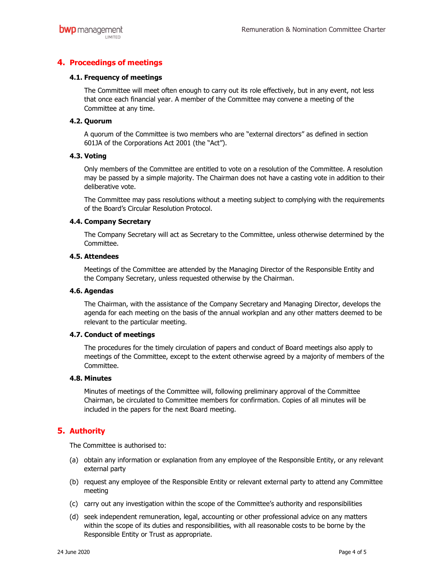# 4. Proceedings of meetings

## 4.1. Frequency of meetings

The Committee will meet often enough to carry out its role effectively, but in any event, not less that once each financial year. A member of the Committee may convene a meeting of the Committee at any time.

## 4.2. Quorum

A quorum of the Committee is two members who are "external directors" as defined in section 601JA of the Corporations Act 2001 (the "Act").

## 4.3. Voting

Only members of the Committee are entitled to vote on a resolution of the Committee. A resolution may be passed by a simple majority. The Chairman does not have a casting vote in addition to their deliberative vote.

The Committee may pass resolutions without a meeting subject to complying with the requirements of the Board's Circular Resolution Protocol.

## 4.4. Company Secretary

The Company Secretary will act as Secretary to the Committee, unless otherwise determined by the Committee.

## 4.5. Attendees

Meetings of the Committee are attended by the Managing Director of the Responsible Entity and the Company Secretary, unless requested otherwise by the Chairman.

## 4.6. Agendas

The Chairman, with the assistance of the Company Secretary and Managing Director, develops the agenda for each meeting on the basis of the annual workplan and any other matters deemed to be relevant to the particular meeting.

### 4.7. Conduct of meetings

The procedures for the timely circulation of papers and conduct of Board meetings also apply to meetings of the Committee, except to the extent otherwise agreed by a majority of members of the Committee.

### 4.8. Minutes

Minutes of meetings of the Committee will, following preliminary approval of the Committee Chairman, be circulated to Committee members for confirmation. Copies of all minutes will be included in the papers for the next Board meeting.

# 5. Authority

The Committee is authorised to:

- (a) obtain any information or explanation from any employee of the Responsible Entity, or any relevant external party
- (b) request any employee of the Responsible Entity or relevant external party to attend any Committee meeting
- (c) carry out any investigation within the scope of the Committee's authority and responsibilities
- (d) seek independent remuneration, legal, accounting or other professional advice on any matters within the scope of its duties and responsibilities, with all reasonable costs to be borne by the Responsible Entity or Trust as appropriate.